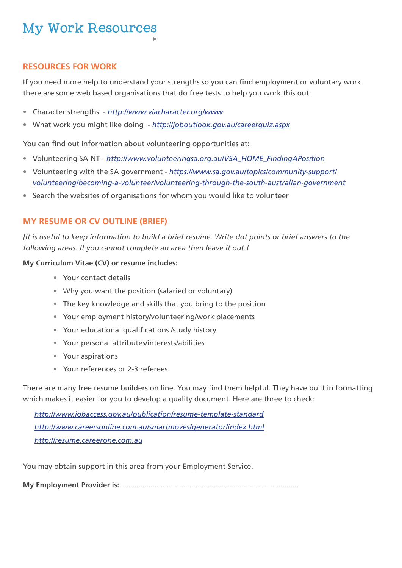## **RESOURCES FOR WORK**

If you need more help to understand your strengths so you can find employment or voluntary work there are some web based organisations that do free tests to help you work this out:

- Character strengths *http://www.viacharacter.org/www*
- What work you might like doing *http://joboutlook.gov.au/careerquiz.aspx*

You can find out information about volunteering opportunities at:

- Volunteering SA-NT *http://www.volunteeringsa.org.au/VSA\_HOME\_FindingAPosition*
- Volunteering with the SA government *https://www.sa.gov.au/topics/community-support/ volunteering/becoming-a-volunteer/volunteering-through-the-south-australian-government*
- Search the websites of organisations for whom you would like to volunteer

# **MY RESUME OR CV OUTLINE (BRIEF)**

*[It is useful to keep information to build a brief resume. Write dot points or brief answers to the following areas. If you cannot complete an area then leave it out.]* 

## **My Curriculum Vitae (CV) or resume includes:**

- Your contact details
- Why you want the position (salaried or voluntary)
- The key knowledge and skills that you bring to the position
- Your employment history/volunteering/work placements
- Your educational qualifications /study history
- Your personal attributes/interests/abilities
- Your aspirations
- Your references or 2-3 referees

There are many free resume builders on line. You may find them helpful. They have built in formatting which makes it easier for you to develop a quality document. Here are three to check:

*http://www.jobaccess.gov.au/publication/resume-template-standard http://www.careersonline.com.au/smartmoves/generator/index.html http://resume.careerone.com.au*

You may obtain support in this area from your Employment Service.

**My Employment Provider is:** .......................................................................................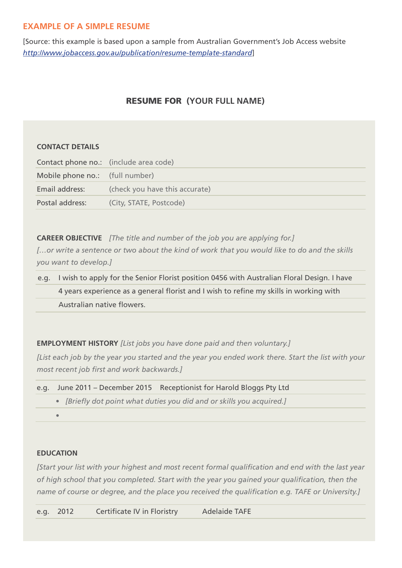# **EXAMPLE OF A SIMPLE RESUME**

[Source: this example is based upon a sample from Australian Government's Job Access website *http://www.jobaccess.gov.au/publication/resume-template-standard*]

# RESUME FOR **(YOUR FULL NAME)**

### **CONTACT DETAILS**

| Contact phone no.: (include area code) |                                |
|----------------------------------------|--------------------------------|
| Mobile phone no.: (full number)        |                                |
| Email address:                         | (check you have this accurate) |
| Postal address:                        | (City, STATE, Postcode)        |

**CAREER OBJECTIVE** *[The title and number of the job you are applying for.] […or write a sentence or two about the kind of work that you would like to do and the skills you want to develop.]* 

e.g. I wish to apply for the Senior Florist position 0456 with Australian Floral Design. I have 4 years experience as a general florist and I wish to refine my skills in working with Australian native flowers.

**EMPLOYMENT HISTORY** *[List jobs you have done paid and then voluntary.]*

*[List each job by the year you started and the year you ended work there. Start the list with your most recent job first and work backwards.]*

```
e.g. June 2011 – December 2015 Receptionist for Harold Bloggs Pty Ltd
• [Briefly dot point what duties you did and or skills you acquired.]
•
```
### **EDUCATION**

*[Start your list with your highest and most recent formal qualification and end with the last year of high school that you completed. Start with the year you gained your qualification, then the name of course or degree, and the place you received the qualification e.g. TAFE or University.]*

e.g. 2012 Certificate IV in Floristry Adelaide TAFE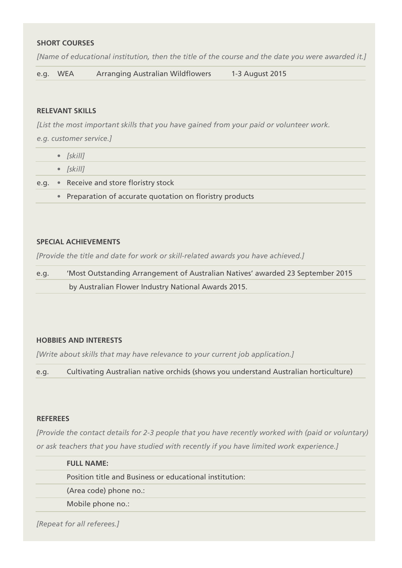### **SHORT COURSES**

*[Name of educational institution, then the title of the course and the date you were awarded it.]* 

e.g. WEA Arranging Australian Wildflowers 1-3 August 2015

#### **RELEVANT SKILLS**

*[List the most important skills that you have gained from your paid or volunteer work.* 

*e.g. customer service.]*

|  | $\bullet$ [skill]                        |
|--|------------------------------------------|
|  | $\bullet$ [skill]                        |
|  | e.g. • Receive and store floristry stock |
|  |                                          |

**•** Preparation of accurate quotation on floristry products

#### **SPECIAL ACHIEVEMENTS**

*[Provide the title and date for work or skill-related awards you have achieved.]*

e.g. 'Most Outstanding Arrangement of Australian Natives' awarded 23 September 2015 by Australian Flower Industry National Awards 2015.

#### **HOBBIES AND INTERESTS**

*[Write about skills that may have relevance to your current job application.]*

e.g. Cultivating Australian native orchids (shows you understand Australian horticulture)

#### **REFEREES**

*[Provide the contact details for 2-3 people that you have recently worked with (paid or voluntary) or ask teachers that you have studied with recently if you have limited work experience.]*

| <b>FULL NAME:</b>                                       |
|---------------------------------------------------------|
| Position title and Business or educational institution: |
| (Area code) phone no.:                                  |
| Mobile phone no.:                                       |

*[Repeat for all referees.]*